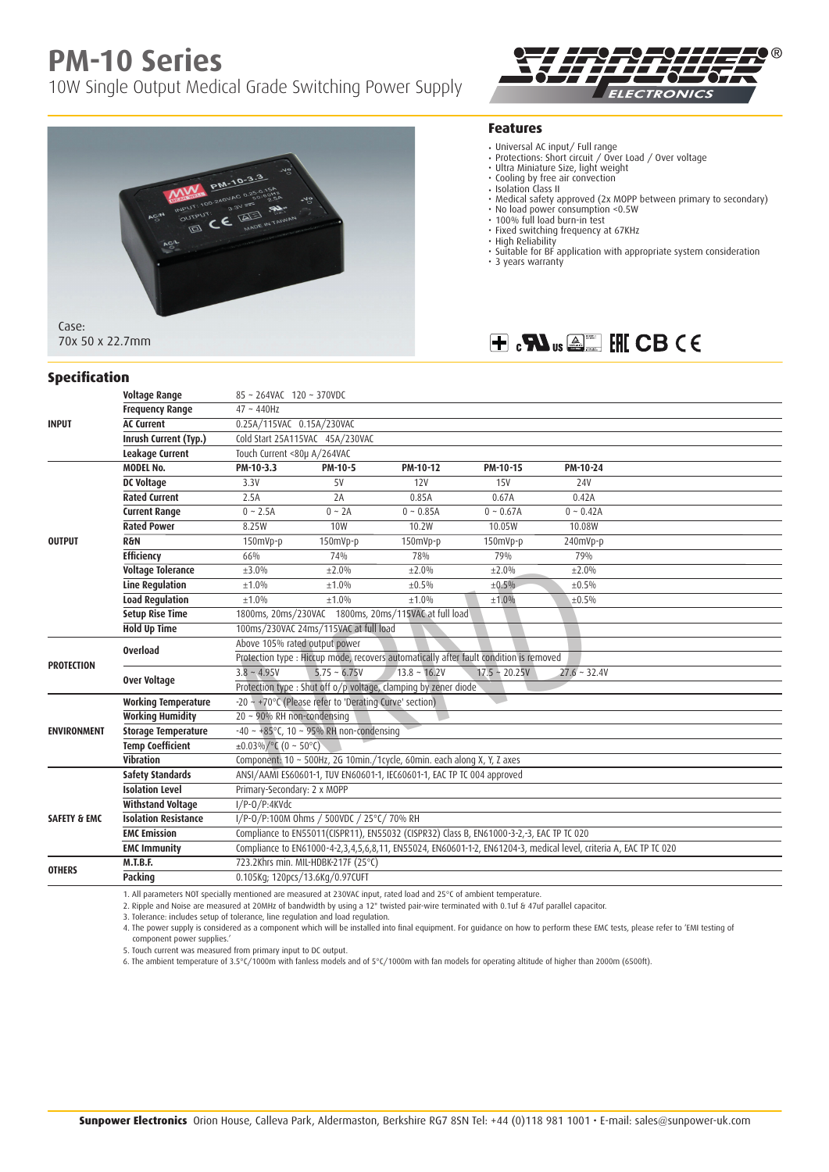## **PM-10 Series**

10W Single Output Medical Grade Switching Power Supply



## $\circledR$ ECTRONICS

## **Features**

- 
- Universal AC input/ Full range Protections: Short circuit / Over Load / Over voltage Ultra Miniature Size, light weight
- 
- Cooling by free air convection Isolation Class II
- Medical safety approved (2x MOPP between primary to secondary)
- 
- No load power consumption <0.5W 100% full load burn-in test
- Fixed switching frequency at 67KHz
- High Reliability Suitable for BF application with appropriate system consideration
- 3 years warranty

## $H \cdot M$ <sub>us</sub> $\mathbb{Z}$   $H$  CB CE

| <b>Specification</b>    |                             |                                                                                           |                                                                                                                   |             |             |                |  |  |
|-------------------------|-----------------------------|-------------------------------------------------------------------------------------------|-------------------------------------------------------------------------------------------------------------------|-------------|-------------|----------------|--|--|
|                         | <b>Voltage Range</b>        | 85~264VAC 120~370VDC                                                                      |                                                                                                                   |             |             |                |  |  |
| <b>INPUT</b>            | <b>Frequency Range</b>      | $47 - 440$ Hz                                                                             |                                                                                                                   |             |             |                |  |  |
|                         | <b>AC Current</b>           | 0.25A/115VAC 0.15A/230VAC                                                                 |                                                                                                                   |             |             |                |  |  |
|                         | Inrush Current (Typ.)       | Cold Start 25A115VAC 45A/230VAC                                                           |                                                                                                                   |             |             |                |  |  |
|                         | Leakage Current             | Touch Current <80µ A/264VAC                                                               |                                                                                                                   |             |             |                |  |  |
| <b>OUTPUT</b>           | <b>MODEL No.</b>            | PM-10-3.3                                                                                 | PM-10-5                                                                                                           | PM-10-12    | PM-10-15    | PM-10-24       |  |  |
|                         | <b>DC Voltage</b>           | 3.3V                                                                                      | 5V                                                                                                                | 12V         | <b>15V</b>  | <b>24V</b>     |  |  |
|                         | <b>Rated Current</b>        | 2.5A                                                                                      | 2A                                                                                                                | 0.85A       | 0.67A       | 0.42A          |  |  |
|                         | <b>Current Range</b>        | $0 \sim 2.5A$                                                                             | $0 \sim 2A$                                                                                                       | $0 - 0.85A$ | $0 - 0.67A$ | $0 \sim 0.42A$ |  |  |
|                         | <b>Rated Power</b>          | 8.25W                                                                                     | 10 <sub>W</sub>                                                                                                   | 10.2W       | 10.05W      | 10.08W         |  |  |
|                         | <b>R&amp;N</b>              | 150mVp-p                                                                                  | 150mVp-p                                                                                                          | 150mVp-p    | 150mVp-p    | 240mVp-p       |  |  |
|                         | <b>Efficiency</b>           | 66%                                                                                       | 74%                                                                                                               | 78%         | 79%         | 79%            |  |  |
|                         | <b>Voltage Tolerance</b>    | $\pm 3.0\%$                                                                               | $+2.0%$                                                                                                           | ±2.0%       | ±2.0%       | ±2.0%          |  |  |
|                         | <b>Line Regulation</b>      | ±1.0%                                                                                     | ±1.0%                                                                                                             | $\pm 0.5\%$ | ±0.5%       | ±0.5%          |  |  |
|                         | <b>Load Regulation</b>      | $+1.0%$                                                                                   | $+1.0%$                                                                                                           | $+1.0%$     | ±1.0%       | ±0.5%          |  |  |
|                         | <b>Setup Rise Time</b>      | 1800ms, 20ms/230VAC 1800ms, 20ms/115VAC at full load                                      |                                                                                                                   |             |             |                |  |  |
|                         | <b>Hold Up Time</b>         | 100ms/230VAC 24ms/115VAC at full load                                                     |                                                                                                                   |             |             |                |  |  |
| <b>PROTECTION</b>       | <b>Overload</b>             | Above 105% rated output power                                                             |                                                                                                                   |             |             |                |  |  |
|                         |                             | Protection type : Hiccup mode, recovers automatically after fault condition is removed    |                                                                                                                   |             |             |                |  |  |
|                         | Over Voltage                | $3.8 - 4.95V$<br>$5.75 - 6.75V$<br>$13.8 - 16.2V$<br>$17.5 - 20.25V$<br>$27.6 \sim 32.4V$ |                                                                                                                   |             |             |                |  |  |
|                         |                             | Protection type : Shut off o/p voltage, clamping by zener diode                           |                                                                                                                   |             |             |                |  |  |
| <b>ENVIRONMENT</b>      | <b>Working Temperature</b>  | $-20 \sim +70^{\circ}$ C (Please refer to 'Derating Curve' section)                       |                                                                                                                   |             |             |                |  |  |
|                         | <b>Working Humidity</b>     | 20 ~ 90% RH non-condensing                                                                |                                                                                                                   |             |             |                |  |  |
|                         | <b>Storage Temperature</b>  | $-40 \sim +85^{\circ}$ C, 10 ~ 95% RH non-condensing                                      |                                                                                                                   |             |             |                |  |  |
|                         | <b>Temp Coefficient</b>     | $\pm 0.03\% / \degree$ C (0 ~ 50°C)                                                       |                                                                                                                   |             |             |                |  |  |
|                         | Vibration                   | Component: 10 ~ 500Hz, 2G 10min./1cycle, 60min. each along X, Y, Z axes                   |                                                                                                                   |             |             |                |  |  |
| <b>SAFETY &amp; EMC</b> | <b>Safety Standards</b>     | ANSI/AAMI ES60601-1, TUV EN60601-1, IEC60601-1, EAC TP TC 004 approved                    |                                                                                                                   |             |             |                |  |  |
|                         | <b>Isolation Level</b>      | Primary-Secondary: 2 x MOPP                                                               |                                                                                                                   |             |             |                |  |  |
|                         | <b>Withstand Voltage</b>    | $I/P-O/P:4K\overline{Vdc}$                                                                |                                                                                                                   |             |             |                |  |  |
|                         | <b>Isolation Resistance</b> | I/P-0/P:100M Ohms / 500VDC / 25°C/ 70% RH                                                 |                                                                                                                   |             |             |                |  |  |
|                         | <b>EMC Emission</b>         |                                                                                           | Compliance to EN55011(CISPR11), EN55032 (CISPR32) Class B, EN61000-3-2,-3, EAC TP TC 020                          |             |             |                |  |  |
|                         | <b>EMC Immunity</b>         |                                                                                           | Compliance to EN61000-4-2,3,4,5,6,8,11, EN55024, EN60601-1-2, EN61204-3, medical level, criteria A, EAC TP TC 020 |             |             |                |  |  |
| <b>OTHERS</b>           | M.T.B.F.                    | 723.2Khrs min. MIL-HDBK-217F (25°C)                                                       |                                                                                                                   |             |             |                |  |  |
|                         | Packing                     |                                                                                           | 0.105Kg; 120pcs/13.6Kg/0.97CUFT                                                                                   |             |             |                |  |  |

1. All parameters NOT specially mentioned are measured at 230VAC input, rated load and 25°C of ambient temperature.

2. Ripple and Noise are measured at 20MHz of bandwidth by using a 12" twisted pair-wire terminated with 0.1uf & 47uf parallel capacitor.

3. Tolerance: includes setup of tolerance, line regulation and load regulation.

4. The power supply is considered as a component which will be installed into final equipment. For guidance on how to perform these EMC tests, please refer to 'EMI testing of component power supplies.'

5. Touch current was measured from primary input to DC output. 6. The ambient temperature of 3.5°C/1000m with fanless models and of 5°C/1000m with fan models for operating altitude of higher than 2000m (6500ft).